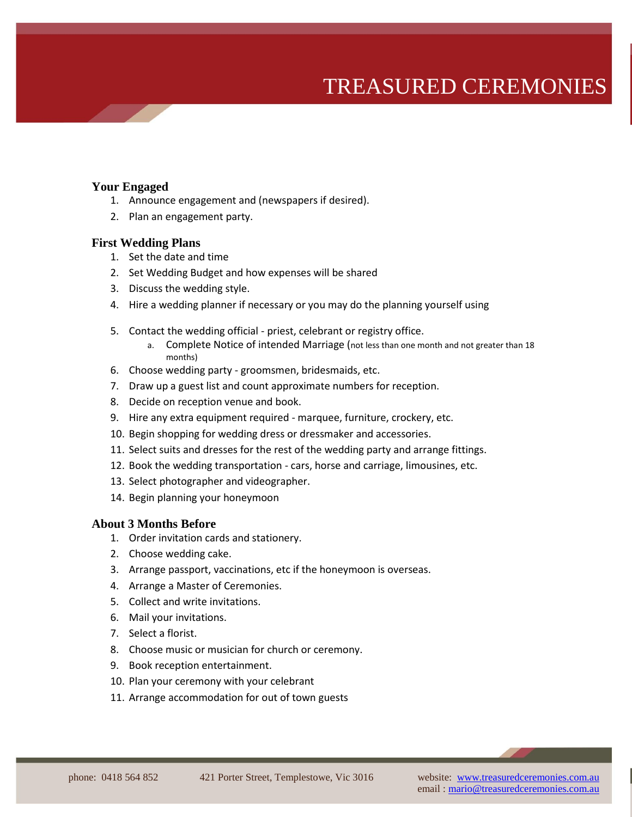## TREASURED CEREMONIES

#### **Your Engaged**

- 1. Announce engagement and (newspapers if desired).
- 2. Plan an engagement party.

#### **First Wedding Plans**

- 1. Set the date and time
- 2. Set Wedding Budget and how expenses will be shared
- 3. Discuss the wedding style.
- 4. Hire a wedding planner if necessary or you may do the planning yourself using
- 5. Contact the wedding official priest, celebrant or registry office.
	- a. Complete Notice of intended Marriage (not less than one month and not greater than 18 months)
- 6. Choose wedding party groomsmen, bridesmaids, etc.
- 7. Draw up a guest list and count approximate numbers for reception.
- 8. Decide on reception venue and book.
- 9. Hire any extra equipment required marquee, furniture, crockery, etc.
- 10. Begin shopping for wedding dress or dressmaker and accessories.
- 11. Select suits and dresses for the rest of the wedding party and arrange fittings.
- 12. Book the wedding transportation cars, horse and carriage, limousines, etc.
- 13. Select photographer and videographer.
- 14. Begin planning your honeymoon

#### **About 3 Months Before**

- 1. Order invitation cards and stationery.
- 2. Choose wedding cake.
- 3. Arrange passport, vaccinations, etc if the honeymoon is overseas.
- 4. Arrange a Master of Ceremonies.
- 5. Collect and write invitations.
- 6. Mail your invitations.
- 7. Select a florist.
- 8. Choose music or musician for church or ceremony.
- 9. Book reception entertainment.
- 10. Plan your ceremony with your celebrant
- 11. Arrange accommodation for out of town guests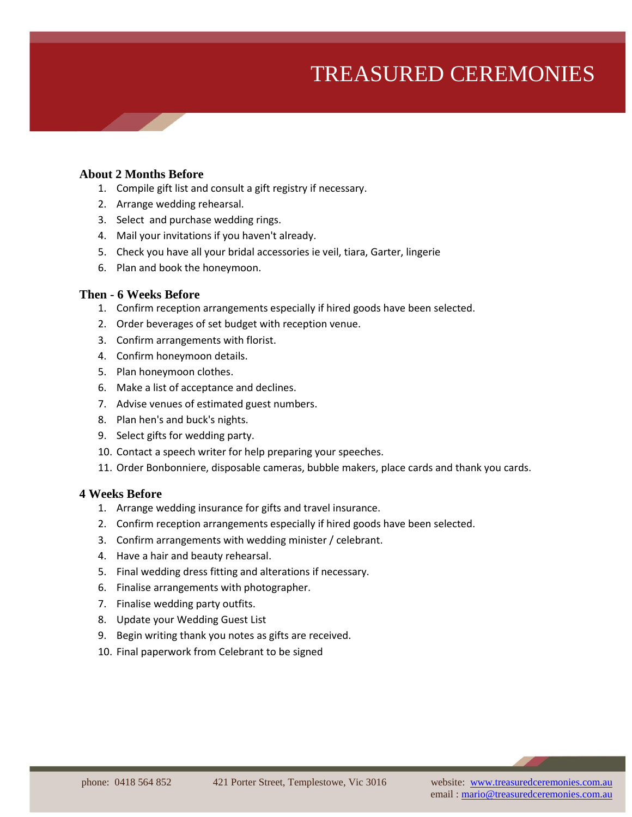# TREASURED CEREMONIES

#### **About 2 Months Before**

- 1. Compile gift list and consult a gift registry if necessary.
- 2. Arrange wedding rehearsal.
- 3. Select and purchase wedding rings.
- 4. Mail your invitations if you haven't already.
- 5. Check you have all your bridal accessories ie veil, tiara, Garter, lingerie
- 6. Plan and book the honeymoon.

#### **Then - 6 Weeks Before**

- 1. Confirm reception arrangements especially if hired goods have been selected.
- 2. Order beverages of set budget with reception venue.
- 3. Confirm arrangements with florist.
- 4. Confirm honeymoon details.
- 5. Plan honeymoon clothes.
- 6. Make a list of acceptance and declines.
- 7. Advise venues of estimated guest numbers.
- 8. Plan hen's and buck's nights.
- 9. Select gifts for wedding party.
- 10. Contact a speech writer for help preparing your speeches.
- 11. Order Bonbonniere, disposable cameras, bubble makers, place cards and thank you cards.

#### **4 Weeks Before**

- 1. Arrange wedding insurance for gifts and travel insurance.
- 2. Confirm reception arrangements especially if hired goods have been selected.
- 3. Confirm arrangements with wedding minister / celebrant.
- 4. Have a hair and beauty rehearsal.
- 5. Final wedding dress fitting and alterations if necessary.
- 6. Finalise arrangements with photographer.
- 7. Finalise wedding party outfits.
- 8. Update your Wedding Guest List
- 9. Begin writing thank you notes as gifts are received.
- 10. Final paperwork from Celebrant to be signed